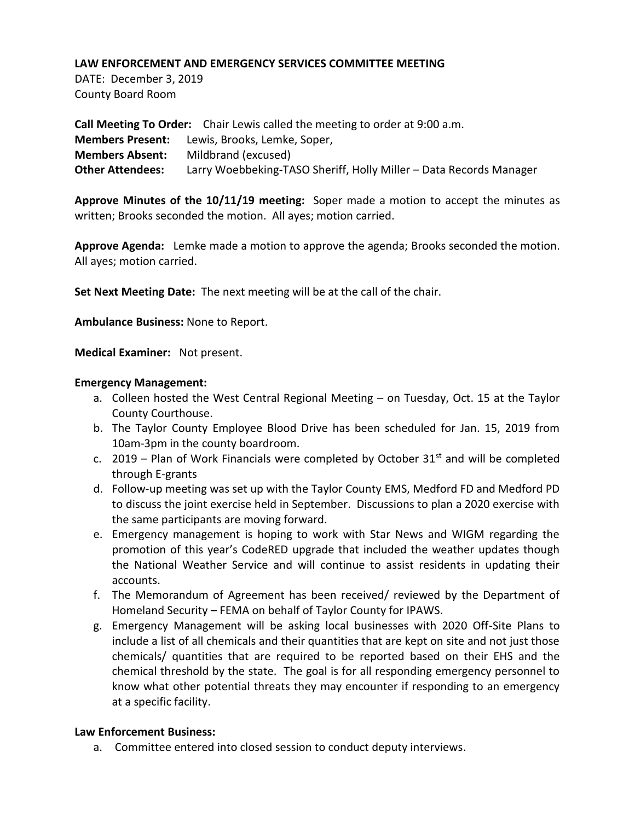DATE: December 3, 2019 County Board Room

**Call Meeting To Order:** Chair Lewis called the meeting to order at 9:00 a.m. **Members Present:** Lewis, Brooks, Lemke, Soper, **Members Absent:** Mildbrand (excused) **Other Attendees:** Larry Woebbeking-TASO Sheriff, Holly Miller – Data Records Manager

**Approve Minutes of the 10/11/19 meeting:** Soper made a motion to accept the minutes as written; Brooks seconded the motion. All ayes; motion carried.

**Approve Agenda:** Lemke made a motion to approve the agenda; Brooks seconded the motion. All ayes; motion carried.

**Set Next Meeting Date:** The next meeting will be at the call of the chair.

**Ambulance Business:** None to Report.

**Medical Examiner:** Not present.

### **Emergency Management:**

- a. Colleen hosted the West Central Regional Meeting on Tuesday, Oct. 15 at the Taylor County Courthouse.
- b. The Taylor County Employee Blood Drive has been scheduled for Jan. 15, 2019 from 10am-3pm in the county boardroom.
- c. 2019 Plan of Work Financials were completed by October 31 $\mathrm{^{st}}$  and will be completed through E-grants
- d. Follow-up meeting was set up with the Taylor County EMS, Medford FD and Medford PD to discuss the joint exercise held in September. Discussions to plan a 2020 exercise with the same participants are moving forward.
- e. Emergency management is hoping to work with Star News and WIGM regarding the promotion of this year's CodeRED upgrade that included the weather updates though the National Weather Service and will continue to assist residents in updating their accounts.
- f. The Memorandum of Agreement has been received/ reviewed by the Department of Homeland Security – FEMA on behalf of Taylor County for IPAWS.
- g. Emergency Management will be asking local businesses with 2020 Off-Site Plans to include a list of all chemicals and their quantities that are kept on site and not just those chemicals/ quantities that are required to be reported based on their EHS and the chemical threshold by the state. The goal is for all responding emergency personnel to know what other potential threats they may encounter if responding to an emergency at a specific facility.

# **Law Enforcement Business:**

a. Committee entered into closed session to conduct deputy interviews.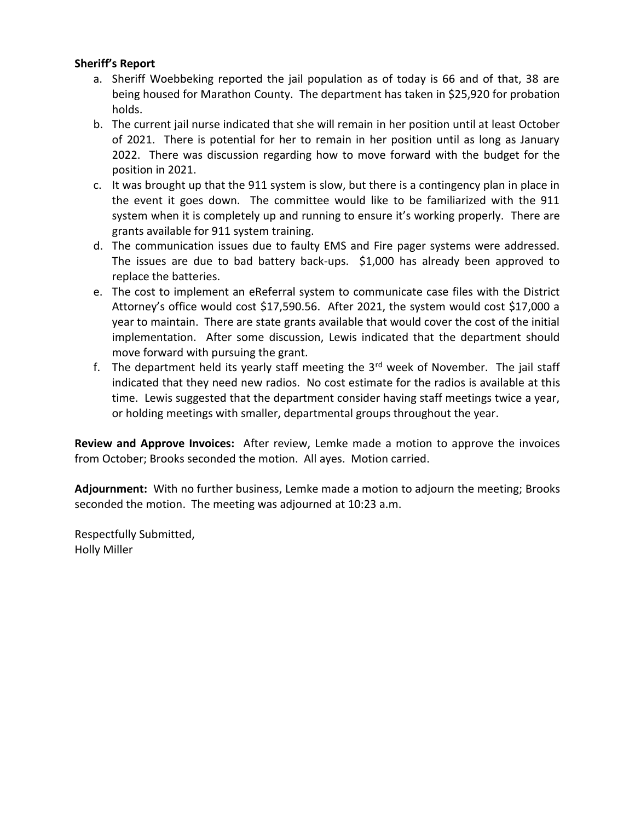# **Sheriff's Report**

- a. Sheriff Woebbeking reported the jail population as of today is 66 and of that, 38 are being housed for Marathon County. The department has taken in \$25,920 for probation holds.
- b. The current jail nurse indicated that she will remain in her position until at least October of 2021. There is potential for her to remain in her position until as long as January 2022. There was discussion regarding how to move forward with the budget for the position in 2021.
- c. It was brought up that the 911 system is slow, but there is a contingency plan in place in the event it goes down. The committee would like to be familiarized with the 911 system when it is completely up and running to ensure it's working properly. There are grants available for 911 system training.
- d. The communication issues due to faulty EMS and Fire pager systems were addressed. The issues are due to bad battery back-ups. \$1,000 has already been approved to replace the batteries.
- e. The cost to implement an eReferral system to communicate case files with the District Attorney's office would cost \$17,590.56. After 2021, the system would cost \$17,000 a year to maintain. There are state grants available that would cover the cost of the initial implementation. After some discussion, Lewis indicated that the department should move forward with pursuing the grant.
- f. The department held its yearly staff meeting the  $3<sup>rd</sup>$  week of November. The jail staff indicated that they need new radios. No cost estimate for the radios is available at this time. Lewis suggested that the department consider having staff meetings twice a year, or holding meetings with smaller, departmental groups throughout the year.

**Review and Approve Invoices:** After review, Lemke made a motion to approve the invoices from October; Brooks seconded the motion. All ayes. Motion carried.

**Adjournment:** With no further business, Lemke made a motion to adjourn the meeting; Brooks seconded the motion. The meeting was adjourned at 10:23 a.m.

Respectfully Submitted, Holly Miller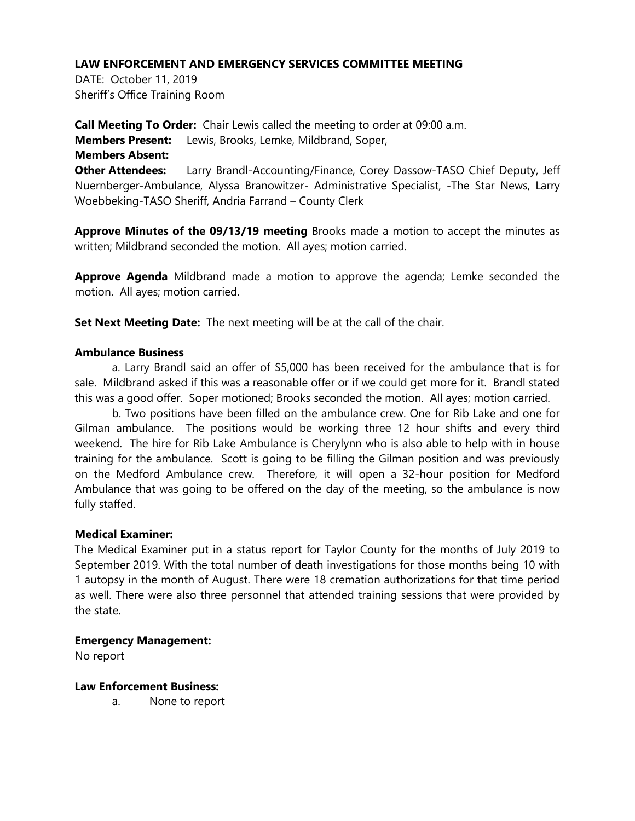DATE: October 11, 2019 Sheriff's Office Training Room

**Call Meeting To Order:** Chair Lewis called the meeting to order at 09:00 a.m. **Members Present:** Lewis, Brooks, Lemke, Mildbrand, Soper, **Members Absent: Other Attendees:** Larry Brandl-Accounting/Finance, Corey Dassow-TASO Chief Deputy, Jeff Nuernberger-Ambulance, Alyssa Branowitzer- Administrative Specialist, -The Star News, Larry Woebbeking-TASO Sheriff, Andria Farrand – County Clerk

**Approve Minutes of the 09/13/19 meeting** Brooks made a motion to accept the minutes as written; Mildbrand seconded the motion. All ayes; motion carried.

**Approve Agenda** Mildbrand made a motion to approve the agenda; Lemke seconded the motion. All ayes; motion carried.

**Set Next Meeting Date:** The next meeting will be at the call of the chair.

# **Ambulance Business**

a. Larry Brandl said an offer of \$5,000 has been received for the ambulance that is for sale. Mildbrand asked if this was a reasonable offer or if we could get more for it. Brandl stated this was a good offer. Soper motioned; Brooks seconded the motion. All ayes; motion carried.

b. Two positions have been filled on the ambulance crew. One for Rib Lake and one for Gilman ambulance. The positions would be working three 12 hour shifts and every third weekend. The hire for Rib Lake Ambulance is Cherylynn who is also able to help with in house training for the ambulance. Scott is going to be filling the Gilman position and was previously on the Medford Ambulance crew. Therefore, it will open a 32-hour position for Medford Ambulance that was going to be offered on the day of the meeting, so the ambulance is now fully staffed.

#### **Medical Examiner:**

The Medical Examiner put in a status report for Taylor County for the months of July 2019 to September 2019. With the total number of death investigations for those months being 10 with 1 autopsy in the month of August. There were 18 cremation authorizations for that time period as well. There were also three personnel that attended training sessions that were provided by the state.

# **Emergency Management:**

No report

# **Law Enforcement Business:**

a. None to report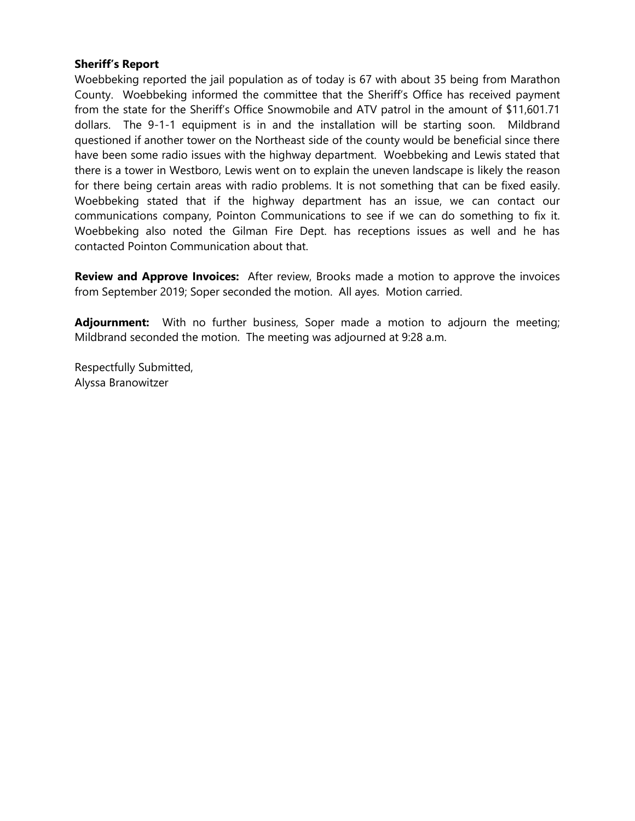# **Sheriff's Report**

Woebbeking reported the jail population as of today is 67 with about 35 being from Marathon County. Woebbeking informed the committee that the Sheriff's Office has received payment from the state for the Sheriff's Office Snowmobile and ATV patrol in the amount of \$11,601.71 dollars. The 9-1-1 equipment is in and the installation will be starting soon. Mildbrand questioned if another tower on the Northeast side of the county would be beneficial since there have been some radio issues with the highway department. Woebbeking and Lewis stated that there is a tower in Westboro, Lewis went on to explain the uneven landscape is likely the reason for there being certain areas with radio problems. It is not something that can be fixed easily. Woebbeking stated that if the highway department has an issue, we can contact our communications company, Pointon Communications to see if we can do something to fix it. Woebbeking also noted the Gilman Fire Dept. has receptions issues as well and he has contacted Pointon Communication about that.

**Review and Approve Invoices:** After review, Brooks made a motion to approve the invoices from September 2019; Soper seconded the motion. All ayes. Motion carried.

**Adjournment:** With no further business, Soper made a motion to adjourn the meeting; Mildbrand seconded the motion. The meeting was adjourned at 9:28 a.m.

Respectfully Submitted, Alyssa Branowitzer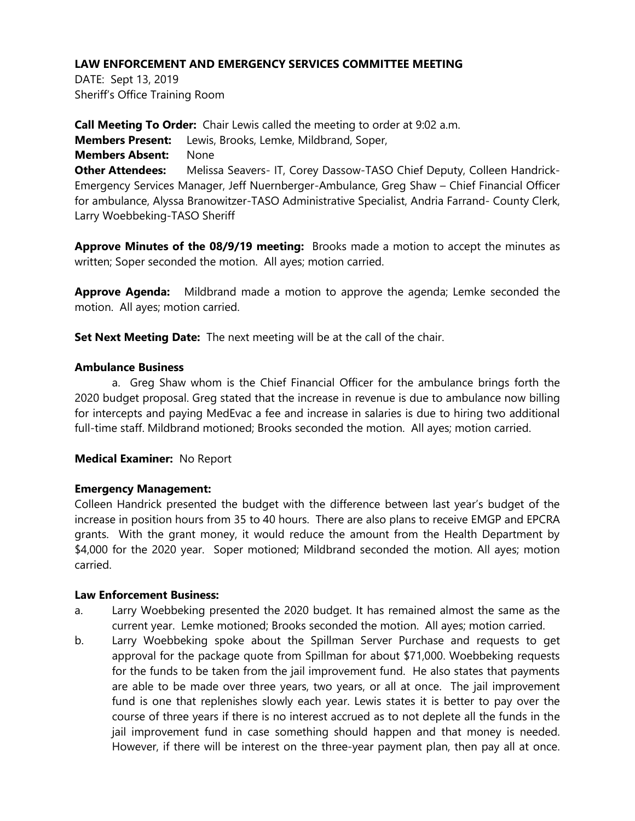DATE: Sept 13, 2019 Sheriff's Office Training Room

**Call Meeting To Order:** Chair Lewis called the meeting to order at 9:02 a.m. **Members Present:** Lewis, Brooks, Lemke, Mildbrand, Soper, **Members Absent:** None **Other Attendees:** Melissa Seavers- IT, Corey Dassow-TASO Chief Deputy, Colleen Handrick-Emergency Services Manager, Jeff Nuernberger-Ambulance, Greg Shaw – Chief Financial Officer for ambulance, Alyssa Branowitzer-TASO Administrative Specialist, Andria Farrand- County Clerk, Larry Woebbeking-TASO Sheriff

**Approve Minutes of the 08/9/19 meeting:** Brooks made a motion to accept the minutes as written; Soper seconded the motion. All ayes; motion carried.

**Approve Agenda:** Mildbrand made a motion to approve the agenda; Lemke seconded the motion. All ayes; motion carried.

**Set Next Meeting Date:** The next meeting will be at the call of the chair.

# **Ambulance Business**

a. Greg Shaw whom is the Chief Financial Officer for the ambulance brings forth the 2020 budget proposal. Greg stated that the increase in revenue is due to ambulance now billing for intercepts and paying MedEvac a fee and increase in salaries is due to hiring two additional full-time staff. Mildbrand motioned; Brooks seconded the motion. All ayes; motion carried.

# **Medical Examiner:** No Report

# **Emergency Management:**

Colleen Handrick presented the budget with the difference between last year's budget of the increase in position hours from 35 to 40 hours. There are also plans to receive EMGP and EPCRA grants. With the grant money, it would reduce the amount from the Health Department by \$4,000 for the 2020 year. Soper motioned; Mildbrand seconded the motion. All ayes; motion carried.

# **Law Enforcement Business:**

- a. Larry Woebbeking presented the 2020 budget. It has remained almost the same as the current year. Lemke motioned; Brooks seconded the motion. All ayes; motion carried.
- b. Larry Woebbeking spoke about the Spillman Server Purchase and requests to get approval for the package quote from Spillman for about \$71,000. Woebbeking requests for the funds to be taken from the jail improvement fund. He also states that payments are able to be made over three years, two years, or all at once. The jail improvement fund is one that replenishes slowly each year. Lewis states it is better to pay over the course of three years if there is no interest accrued as to not deplete all the funds in the jail improvement fund in case something should happen and that money is needed. However, if there will be interest on the three-year payment plan, then pay all at once.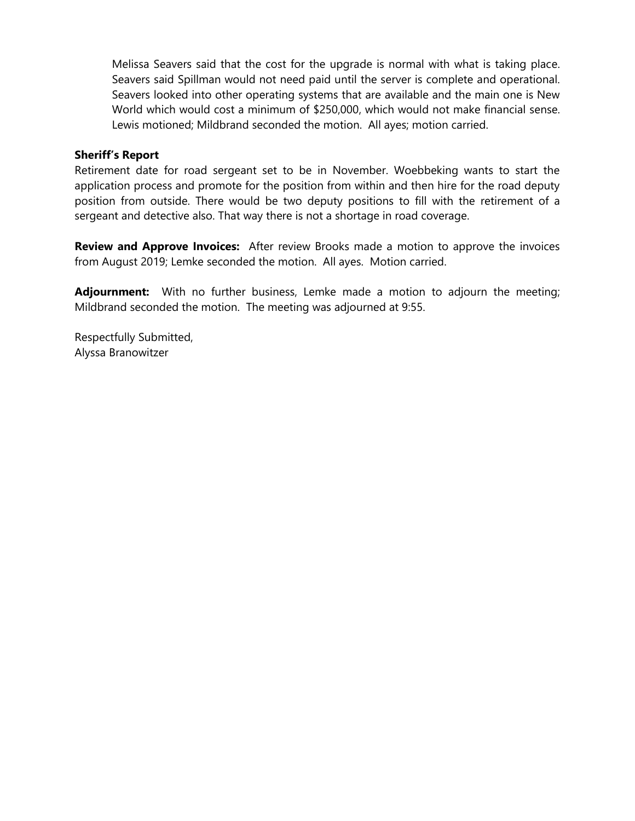Melissa Seavers said that the cost for the upgrade is normal with what is taking place. Seavers said Spillman would not need paid until the server is complete and operational. Seavers looked into other operating systems that are available and the main one is New World which would cost a minimum of \$250,000, which would not make financial sense. Lewis motioned; Mildbrand seconded the motion. All ayes; motion carried.

# **Sheriff's Report**

Retirement date for road sergeant set to be in November. Woebbeking wants to start the application process and promote for the position from within and then hire for the road deputy position from outside. There would be two deputy positions to fill with the retirement of a sergeant and detective also. That way there is not a shortage in road coverage.

**Review and Approve Invoices:** After review Brooks made a motion to approve the invoices from August 2019; Lemke seconded the motion. All ayes. Motion carried.

**Adjournment:** With no further business, Lemke made a motion to adjourn the meeting; Mildbrand seconded the motion. The meeting was adjourned at 9:55.

Respectfully Submitted, Alyssa Branowitzer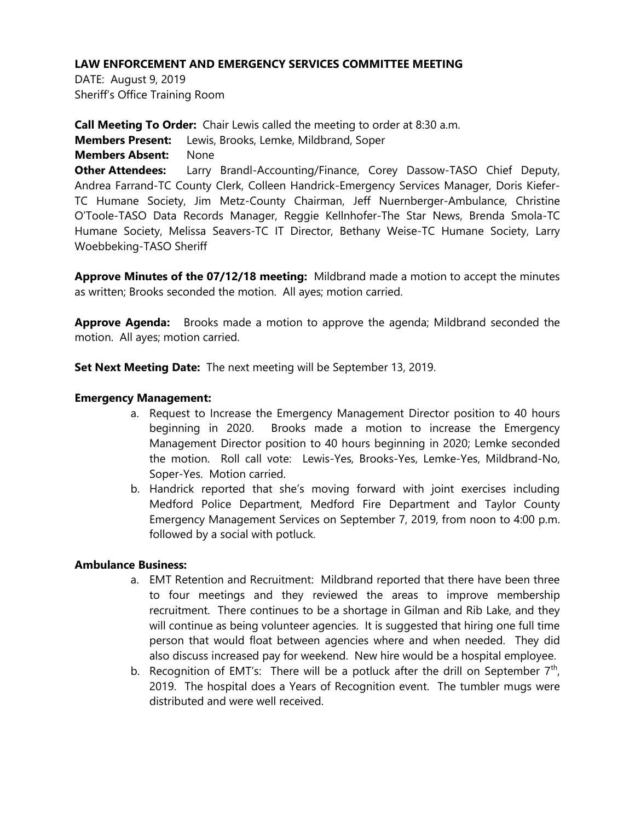DATE: August 9, 2019 Sheriff's Office Training Room

**Call Meeting To Order:** Chair Lewis called the meeting to order at 8:30 a.m. **Members Present:** Lewis, Brooks, Lemke, Mildbrand, Soper **Members Absent:** None **Other Attendees:** Larry Brandl-Accounting/Finance, Corey Dassow-TASO Chief Deputy, Andrea Farrand-TC County Clerk, Colleen Handrick-Emergency Services Manager, Doris Kiefer-TC Humane Society, Jim Metz-County Chairman, Jeff Nuernberger-Ambulance, Christine O'Toole-TASO Data Records Manager, Reggie Kellnhofer-The Star News, Brenda Smola-TC Humane Society, Melissa Seavers-TC IT Director, Bethany Weise-TC Humane Society, Larry Woebbeking-TASO Sheriff

**Approve Minutes of the 07/12/18 meeting:** Mildbrand made a motion to accept the minutes as written; Brooks seconded the motion. All ayes; motion carried.

**Approve Agenda:** Brooks made a motion to approve the agenda; Mildbrand seconded the motion. All ayes; motion carried.

**Set Next Meeting Date:** The next meeting will be September 13, 2019.

# **Emergency Management:**

- a. Request to Increase the Emergency Management Director position to 40 hours beginning in 2020. Brooks made a motion to increase the Emergency Management Director position to 40 hours beginning in 2020; Lemke seconded the motion. Roll call vote: Lewis-Yes, Brooks-Yes, Lemke-Yes, Mildbrand-No, Soper-Yes. Motion carried.
- b. Handrick reported that she's moving forward with joint exercises including Medford Police Department, Medford Fire Department and Taylor County Emergency Management Services on September 7, 2019, from noon to 4:00 p.m. followed by a social with potluck.

# **Ambulance Business:**

- a. EMT Retention and Recruitment: Mildbrand reported that there have been three to four meetings and they reviewed the areas to improve membership recruitment. There continues to be a shortage in Gilman and Rib Lake, and they will continue as being volunteer agencies. It is suggested that hiring one full time person that would float between agencies where and when needed. They did also discuss increased pay for weekend. New hire would be a hospital employee.
- b. Recognition of EMT's: There will be a potluck after the drill on September  $7<sup>th</sup>$ , 2019. The hospital does a Years of Recognition event. The tumbler mugs were distributed and were well received.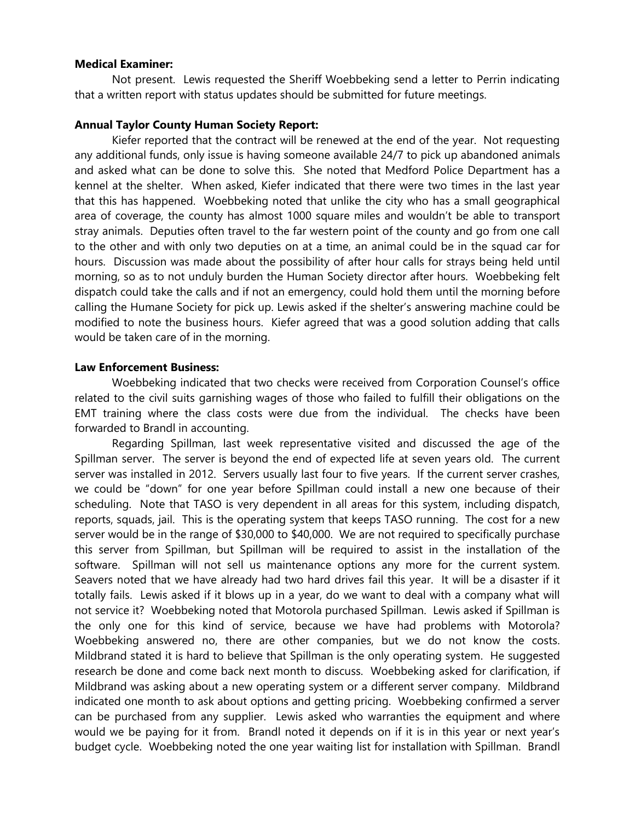#### **Medical Examiner:**

Not present. Lewis requested the Sheriff Woebbeking send a letter to Perrin indicating that a written report with status updates should be submitted for future meetings.

### **Annual Taylor County Human Society Report:**

Kiefer reported that the contract will be renewed at the end of the year. Not requesting any additional funds, only issue is having someone available 24/7 to pick up abandoned animals and asked what can be done to solve this. She noted that Medford Police Department has a kennel at the shelter. When asked, Kiefer indicated that there were two times in the last year that this has happened. Woebbeking noted that unlike the city who has a small geographical area of coverage, the county has almost 1000 square miles and wouldn't be able to transport stray animals. Deputies often travel to the far western point of the county and go from one call to the other and with only two deputies on at a time, an animal could be in the squad car for hours. Discussion was made about the possibility of after hour calls for strays being held until morning, so as to not unduly burden the Human Society director after hours. Woebbeking felt dispatch could take the calls and if not an emergency, could hold them until the morning before calling the Humane Society for pick up. Lewis asked if the shelter's answering machine could be modified to note the business hours. Kiefer agreed that was a good solution adding that calls would be taken care of in the morning.

#### **Law Enforcement Business:**

Woebbeking indicated that two checks were received from Corporation Counsel's office related to the civil suits garnishing wages of those who failed to fulfill their obligations on the EMT training where the class costs were due from the individual. The checks have been forwarded to Brandl in accounting.

Regarding Spillman, last week representative visited and discussed the age of the Spillman server. The server is beyond the end of expected life at seven years old. The current server was installed in 2012. Servers usually last four to five years. If the current server crashes, we could be "down" for one year before Spillman could install a new one because of their scheduling. Note that TASO is very dependent in all areas for this system, including dispatch, reports, squads, jail. This is the operating system that keeps TASO running. The cost for a new server would be in the range of \$30,000 to \$40,000. We are not required to specifically purchase this server from Spillman, but Spillman will be required to assist in the installation of the software. Spillman will not sell us maintenance options any more for the current system. Seavers noted that we have already had two hard drives fail this year. It will be a disaster if it totally fails. Lewis asked if it blows up in a year, do we want to deal with a company what will not service it? Woebbeking noted that Motorola purchased Spillman. Lewis asked if Spillman is the only one for this kind of service, because we have had problems with Motorola? Woebbeking answered no, there are other companies, but we do not know the costs. Mildbrand stated it is hard to believe that Spillman is the only operating system. He suggested research be done and come back next month to discuss. Woebbeking asked for clarification, if Mildbrand was asking about a new operating system or a different server company. Mildbrand indicated one month to ask about options and getting pricing. Woebbeking confirmed a server can be purchased from any supplier. Lewis asked who warranties the equipment and where would we be paying for it from. Brandl noted it depends on if it is in this year or next year's budget cycle. Woebbeking noted the one year waiting list for installation with Spillman. Brandl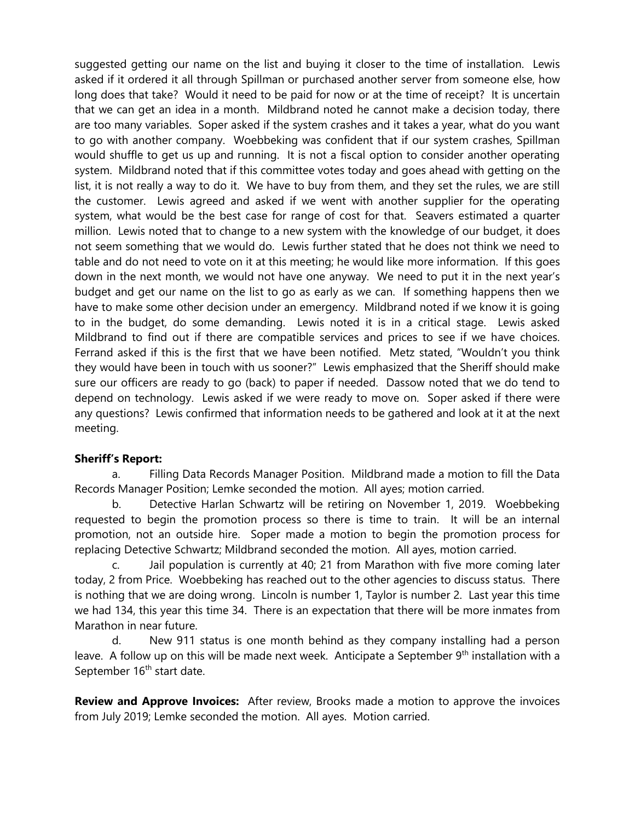suggested getting our name on the list and buying it closer to the time of installation. Lewis asked if it ordered it all through Spillman or purchased another server from someone else, how long does that take? Would it need to be paid for now or at the time of receipt? It is uncertain that we can get an idea in a month. Mildbrand noted he cannot make a decision today, there are too many variables. Soper asked if the system crashes and it takes a year, what do you want to go with another company. Woebbeking was confident that if our system crashes, Spillman would shuffle to get us up and running. It is not a fiscal option to consider another operating system. Mildbrand noted that if this committee votes today and goes ahead with getting on the list, it is not really a way to do it. We have to buy from them, and they set the rules, we are still the customer. Lewis agreed and asked if we went with another supplier for the operating system, what would be the best case for range of cost for that. Seavers estimated a quarter million. Lewis noted that to change to a new system with the knowledge of our budget, it does not seem something that we would do. Lewis further stated that he does not think we need to table and do not need to vote on it at this meeting; he would like more information. If this goes down in the next month, we would not have one anyway. We need to put it in the next year's budget and get our name on the list to go as early as we can. If something happens then we have to make some other decision under an emergency. Mildbrand noted if we know it is going to in the budget, do some demanding. Lewis noted it is in a critical stage. Lewis asked Mildbrand to find out if there are compatible services and prices to see if we have choices. Ferrand asked if this is the first that we have been notified. Metz stated, "Wouldn't you think they would have been in touch with us sooner?" Lewis emphasized that the Sheriff should make sure our officers are ready to go (back) to paper if needed. Dassow noted that we do tend to depend on technology. Lewis asked if we were ready to move on. Soper asked if there were any questions? Lewis confirmed that information needs to be gathered and look at it at the next meeting.

# **Sheriff's Report:**

a. Filling Data Records Manager Position. Mildbrand made a motion to fill the Data Records Manager Position; Lemke seconded the motion. All ayes; motion carried.

b. Detective Harlan Schwartz will be retiring on November 1, 2019. Woebbeking requested to begin the promotion process so there is time to train. It will be an internal promotion, not an outside hire. Soper made a motion to begin the promotion process for replacing Detective Schwartz; Mildbrand seconded the motion. All ayes, motion carried.

c. Jail population is currently at 40; 21 from Marathon with five more coming later today, 2 from Price. Woebbeking has reached out to the other agencies to discuss status. There is nothing that we are doing wrong. Lincoln is number 1, Taylor is number 2. Last year this time we had 134, this year this time 34. There is an expectation that there will be more inmates from Marathon in near future.

d. New 911 status is one month behind as they company installing had a person leave. A follow up on this will be made next week. Anticipate a September  $9<sup>th</sup>$  installation with a September 16<sup>th</sup> start date.

**Review and Approve Invoices:** After review, Brooks made a motion to approve the invoices from July 2019; Lemke seconded the motion. All ayes. Motion carried.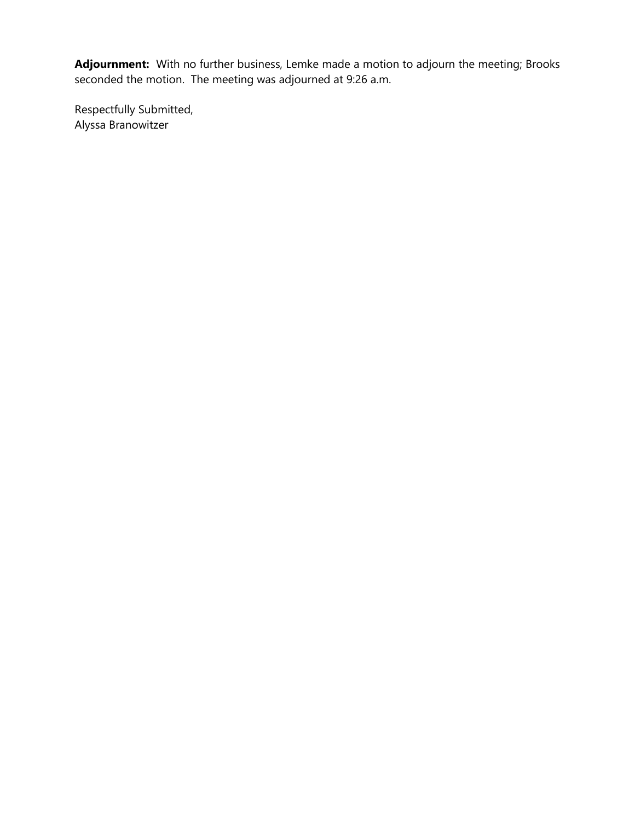**Adjournment:** With no further business, Lemke made a motion to adjourn the meeting; Brooks seconded the motion. The meeting was adjourned at 9:26 a.m.

Respectfully Submitted, Alyssa Branowitzer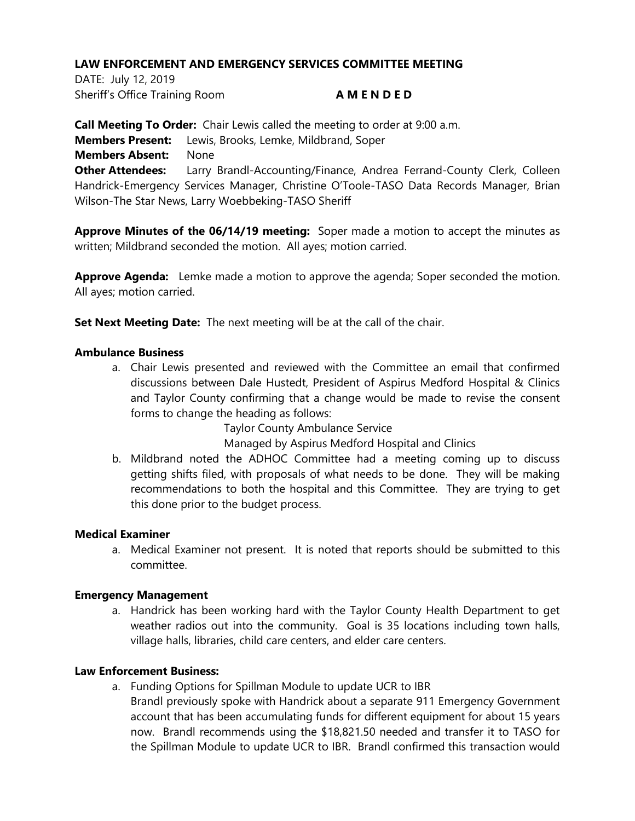DATE: July 12, 2019 Sheriff's Office Training Room **A M E N D E D**

**Call Meeting To Order:** Chair Lewis called the meeting to order at 9:00 a.m. **Members Present:** Lewis, Brooks, Lemke, Mildbrand, Soper **Members Absent:** None **Other Attendees:** Larry Brandl-Accounting/Finance, Andrea Ferrand-County Clerk, Colleen Handrick-Emergency Services Manager, Christine O'Toole-TASO Data Records Manager, Brian Wilson-The Star News, Larry Woebbeking-TASO Sheriff

**Approve Minutes of the 06/14/19 meeting:** Soper made a motion to accept the minutes as written; Mildbrand seconded the motion. All ayes; motion carried.

**Approve Agenda:** Lemke made a motion to approve the agenda; Soper seconded the motion. All ayes; motion carried.

**Set Next Meeting Date:** The next meeting will be at the call of the chair.

### **Ambulance Business**

a. Chair Lewis presented and reviewed with the Committee an email that confirmed discussions between Dale Hustedt, President of Aspirus Medford Hospital & Clinics and Taylor County confirming that a change would be made to revise the consent forms to change the heading as follows:

Taylor County Ambulance Service

Managed by Aspirus Medford Hospital and Clinics

b. Mildbrand noted the ADHOC Committee had a meeting coming up to discuss getting shifts filed, with proposals of what needs to be done. They will be making recommendations to both the hospital and this Committee. They are trying to get this done prior to the budget process.

#### **Medical Examiner**

a. Medical Examiner not present. It is noted that reports should be submitted to this committee.

#### **Emergency Management**

a. Handrick has been working hard with the Taylor County Health Department to get weather radios out into the community. Goal is 35 locations including town halls, village halls, libraries, child care centers, and elder care centers.

# **Law Enforcement Business:**

- a. Funding Options for Spillman Module to update UCR to IBR
	- Brandl previously spoke with Handrick about a separate 911 Emergency Government account that has been accumulating funds for different equipment for about 15 years now. Brandl recommends using the \$18,821.50 needed and transfer it to TASO for the Spillman Module to update UCR to IBR. Brandl confirmed this transaction would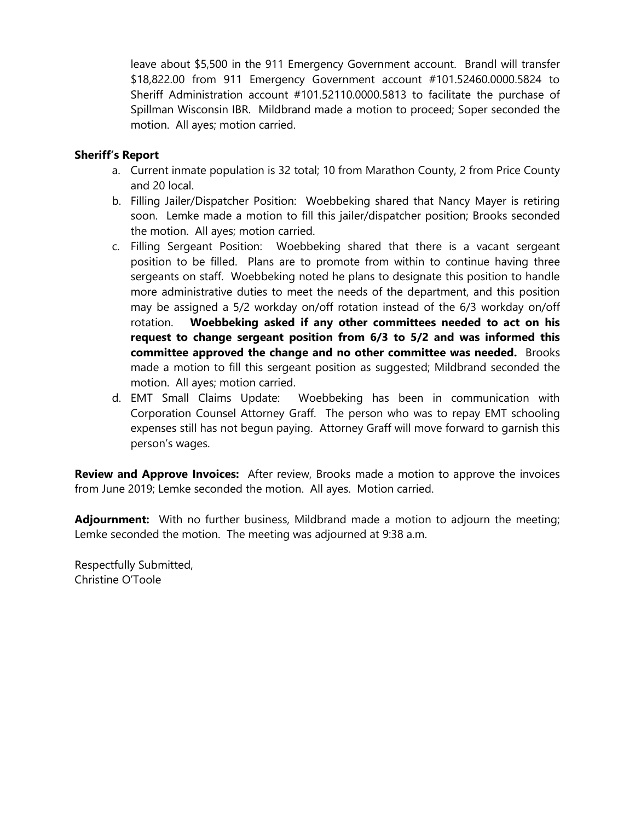leave about \$5,500 in the 911 Emergency Government account. Brandl will transfer \$18,822.00 from 911 Emergency Government account #101.52460.0000.5824 to Sheriff Administration account #101.52110.0000.5813 to facilitate the purchase of Spillman Wisconsin IBR. Mildbrand made a motion to proceed; Soper seconded the motion. All ayes; motion carried.

# **Sheriff's Report**

- a. Current inmate population is 32 total; 10 from Marathon County, 2 from Price County and 20 local.
- b. Filling Jailer/Dispatcher Position: Woebbeking shared that Nancy Mayer is retiring soon. Lemke made a motion to fill this jailer/dispatcher position; Brooks seconded the motion. All ayes; motion carried.
- c. Filling Sergeant Position: Woebbeking shared that there is a vacant sergeant position to be filled. Plans are to promote from within to continue having three sergeants on staff. Woebbeking noted he plans to designate this position to handle more administrative duties to meet the needs of the department, and this position may be assigned a 5/2 workday on/off rotation instead of the 6/3 workday on/off rotation. **Woebbeking asked if any other committees needed to act on his request to change sergeant position from 6/3 to 5/2 and was informed this committee approved the change and no other committee was needed.** Brooks made a motion to fill this sergeant position as suggested; Mildbrand seconded the motion. All ayes; motion carried.
- d. EMT Small Claims Update: Woebbeking has been in communication with Corporation Counsel Attorney Graff. The person who was to repay EMT schooling expenses still has not begun paying. Attorney Graff will move forward to garnish this person's wages.

**Review and Approve Invoices:** After review, Brooks made a motion to approve the invoices from June 2019; Lemke seconded the motion. All ayes. Motion carried.

**Adjournment:** With no further business, Mildbrand made a motion to adjourn the meeting; Lemke seconded the motion. The meeting was adjourned at 9:38 a.m.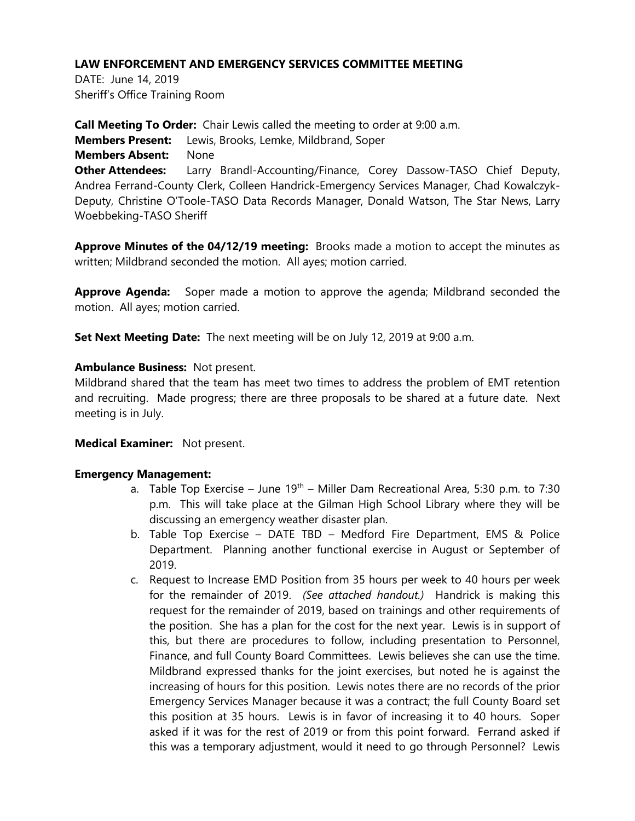DATE: June 14, 2019 Sheriff's Office Training Room

**Call Meeting To Order:** Chair Lewis called the meeting to order at 9:00 a.m. **Members Present:** Lewis, Brooks, Lemke, Mildbrand, Soper **Members Absent:** None **Other Attendees:** Larry Brandl-Accounting/Finance, Corey Dassow-TASO Chief Deputy, Andrea Ferrand-County Clerk, Colleen Handrick-Emergency Services Manager, Chad Kowalczyk-Deputy, Christine O'Toole-TASO Data Records Manager, Donald Watson, The Star News, Larry Woebbeking-TASO Sheriff

**Approve Minutes of the 04/12/19 meeting:** Brooks made a motion to accept the minutes as written; Mildbrand seconded the motion. All ayes; motion carried.

**Approve Agenda:** Soper made a motion to approve the agenda; Mildbrand seconded the motion. All ayes; motion carried.

**Set Next Meeting Date:** The next meeting will be on July 12, 2019 at 9:00 a.m.

# **Ambulance Business:** Not present.

Mildbrand shared that the team has meet two times to address the problem of EMT retention and recruiting. Made progress; there are three proposals to be shared at a future date. Next meeting is in July.

# **Medical Examiner:** Not present.

# **Emergency Management:**

- a. Table Top Exercise June 19<sup>th</sup> Miller Dam Recreational Area, 5:30 p.m. to 7:30 p.m. This will take place at the Gilman High School Library where they will be discussing an emergency weather disaster plan.
- b. Table Top Exercise DATE TBD Medford Fire Department, EMS & Police Department. Planning another functional exercise in August or September of 2019.
- c. Request to Increase EMD Position from 35 hours per week to 40 hours per week for the remainder of 2019. *(See attached handout.)* Handrick is making this request for the remainder of 2019, based on trainings and other requirements of the position. She has a plan for the cost for the next year. Lewis is in support of this, but there are procedures to follow, including presentation to Personnel, Finance, and full County Board Committees. Lewis believes she can use the time. Mildbrand expressed thanks for the joint exercises, but noted he is against the increasing of hours for this position. Lewis notes there are no records of the prior Emergency Services Manager because it was a contract; the full County Board set this position at 35 hours. Lewis is in favor of increasing it to 40 hours. Soper asked if it was for the rest of 2019 or from this point forward. Ferrand asked if this was a temporary adjustment, would it need to go through Personnel? Lewis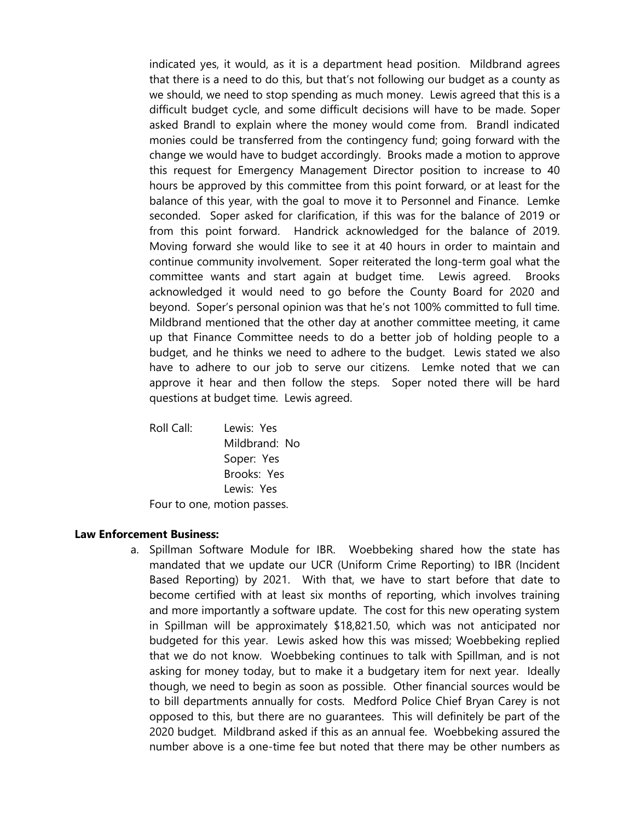indicated yes, it would, as it is a department head position. Mildbrand agrees that there is a need to do this, but that's not following our budget as a county as we should, we need to stop spending as much money. Lewis agreed that this is a difficult budget cycle, and some difficult decisions will have to be made. Soper asked Brandl to explain where the money would come from. Brandl indicated monies could be transferred from the contingency fund; going forward with the change we would have to budget accordingly. Brooks made a motion to approve this request for Emergency Management Director position to increase to 40 hours be approved by this committee from this point forward, or at least for the balance of this year, with the goal to move it to Personnel and Finance. Lemke seconded. Soper asked for clarification, if this was for the balance of 2019 or from this point forward. Handrick acknowledged for the balance of 2019. Moving forward she would like to see it at 40 hours in order to maintain and continue community involvement. Soper reiterated the long-term goal what the committee wants and start again at budget time. Lewis agreed. Brooks acknowledged it would need to go before the County Board for 2020 and beyond. Soper's personal opinion was that he's not 100% committed to full time. Mildbrand mentioned that the other day at another committee meeting, it came up that Finance Committee needs to do a better job of holding people to a budget, and he thinks we need to adhere to the budget. Lewis stated we also have to adhere to our job to serve our citizens. Lemke noted that we can approve it hear and then follow the steps. Soper noted there will be hard questions at budget time. Lewis agreed.

Roll Call: Lewis: Yes Mildbrand: No Soper: Yes Brooks: Yes Lewis: Yes

Four to one, motion passes.

#### **Law Enforcement Business:**

a. Spillman Software Module for IBR. Woebbeking shared how the state has mandated that we update our UCR (Uniform Crime Reporting) to IBR (Incident Based Reporting) by 2021. With that, we have to start before that date to become certified with at least six months of reporting, which involves training and more importantly a software update. The cost for this new operating system in Spillman will be approximately \$18,821.50, which was not anticipated nor budgeted for this year. Lewis asked how this was missed; Woebbeking replied that we do not know. Woebbeking continues to talk with Spillman, and is not asking for money today, but to make it a budgetary item for next year. Ideally though, we need to begin as soon as possible. Other financial sources would be to bill departments annually for costs. Medford Police Chief Bryan Carey is not opposed to this, but there are no guarantees. This will definitely be part of the 2020 budget. Mildbrand asked if this as an annual fee. Woebbeking assured the number above is a one-time fee but noted that there may be other numbers as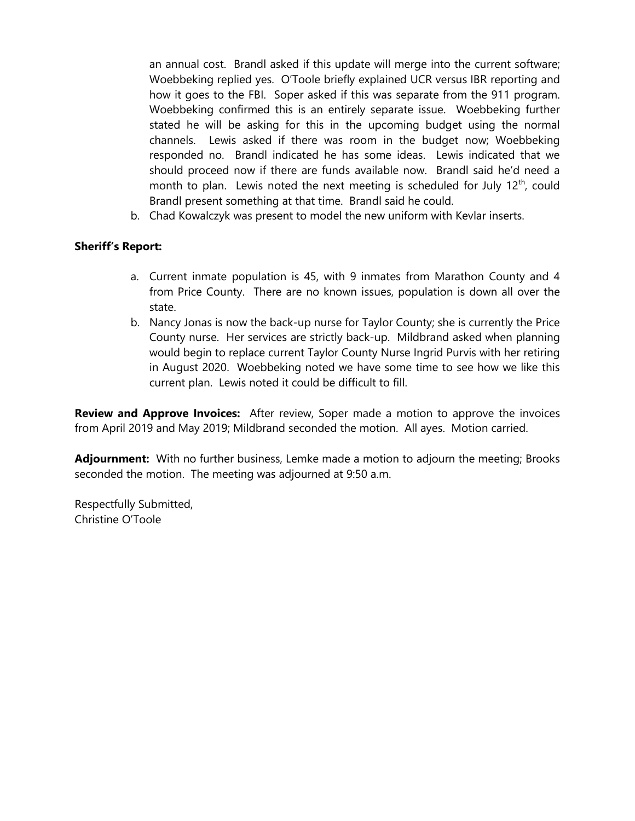an annual cost. Brandl asked if this update will merge into the current software; Woebbeking replied yes. O'Toole briefly explained UCR versus IBR reporting and how it goes to the FBI. Soper asked if this was separate from the 911 program. Woebbeking confirmed this is an entirely separate issue. Woebbeking further stated he will be asking for this in the upcoming budget using the normal channels. Lewis asked if there was room in the budget now; Woebbeking responded no. Brandl indicated he has some ideas. Lewis indicated that we should proceed now if there are funds available now. Brandl said he'd need a month to plan. Lewis noted the next meeting is scheduled for July  $12<sup>th</sup>$ , could Brandl present something at that time. Brandl said he could.

b. Chad Kowalczyk was present to model the new uniform with Kevlar inserts.

# **Sheriff's Report:**

- a. Current inmate population is 45, with 9 inmates from Marathon County and 4 from Price County. There are no known issues, population is down all over the state.
- b. Nancy Jonas is now the back-up nurse for Taylor County; she is currently the Price County nurse. Her services are strictly back-up. Mildbrand asked when planning would begin to replace current Taylor County Nurse Ingrid Purvis with her retiring in August 2020. Woebbeking noted we have some time to see how we like this current plan. Lewis noted it could be difficult to fill.

**Review and Approve Invoices:** After review, Soper made a motion to approve the invoices from April 2019 and May 2019; Mildbrand seconded the motion. All ayes. Motion carried.

**Adjournment:** With no further business, Lemke made a motion to adjourn the meeting; Brooks seconded the motion. The meeting was adjourned at 9:50 a.m.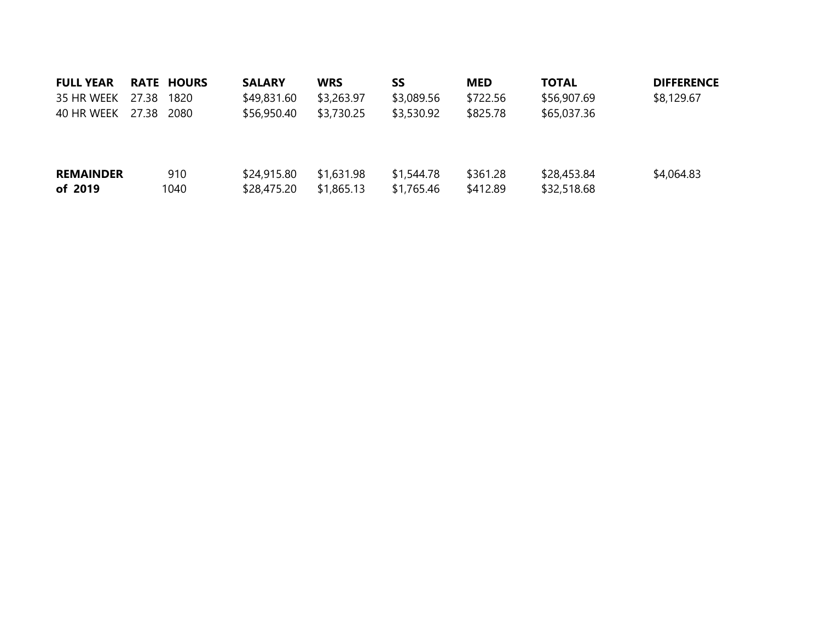| <b>FULL YEAR</b> |       | <b>RATE HOURS</b> | <b>SALARY</b> | <b>WRS</b> | SS         | <b>MED</b> | <b>TOTAL</b> | <b>DIFFERENCE</b> |
|------------------|-------|-------------------|---------------|------------|------------|------------|--------------|-------------------|
| 35 HR WEEK       | 27.38 | 1820              | \$49,831.60   | \$3,263.97 | \$3,089.56 | \$722.56   | \$56,907.69  | \$8,129.67        |
| 40 HR WEEK       | 27.38 | 2080              | \$56,950.40   | \$3,730.25 | \$3,530.92 | \$825.78   | \$65,037.36  |                   |
|                  |       |                   |               |            |            |            |              |                   |
| <b>REMAINDER</b> |       | 910               | \$24,915.80   | \$1,631.98 | \$1,544.78 | \$361.28   | \$28,453.84  | \$4,064.83        |
| of 2019          |       | 1040              | \$28,475.20   | \$1,865.13 | \$1,765.46 | \$412.89   | \$32,518.68  |                   |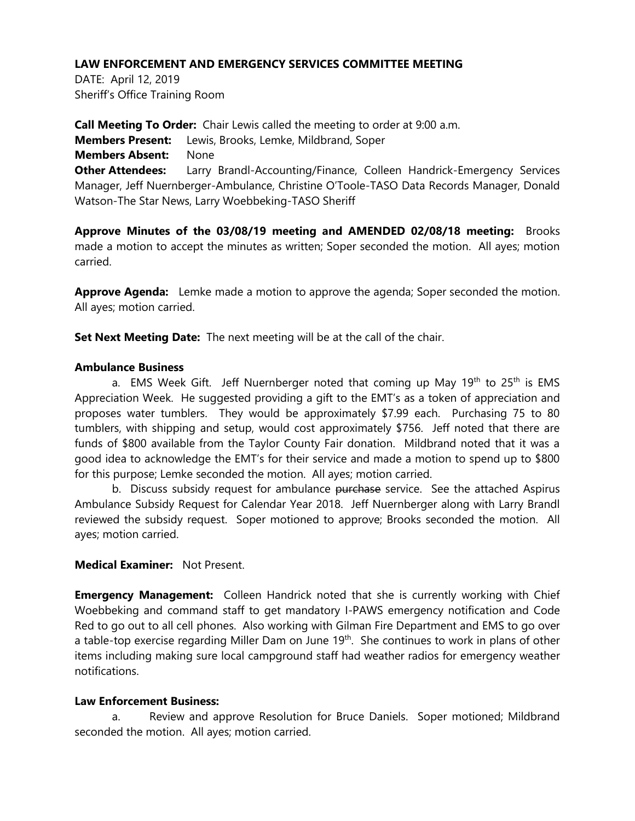DATE: April 12, 2019 Sheriff's Office Training Room

**Call Meeting To Order:** Chair Lewis called the meeting to order at 9:00 a.m. **Members Present:** Lewis, Brooks, Lemke, Mildbrand, Soper **Members Absent:** None **Other Attendees:** Larry Brandl-Accounting/Finance, Colleen Handrick-Emergency Services Manager, Jeff Nuernberger-Ambulance, Christine O'Toole-TASO Data Records Manager, Donald Watson-The Star News, Larry Woebbeking-TASO Sheriff

**Approve Minutes of the 03/08/19 meeting and AMENDED 02/08/18 meeting:** Brooks made a motion to accept the minutes as written; Soper seconded the motion. All ayes; motion carried.

**Approve Agenda:** Lemke made a motion to approve the agenda; Soper seconded the motion. All ayes; motion carried.

**Set Next Meeting Date:** The next meeting will be at the call of the chair.

# **Ambulance Business**

a. EMS Week Gift. Jeff Nuernberger noted that coming up May  $19<sup>th</sup>$  to  $25<sup>th</sup>$  is EMS Appreciation Week. He suggested providing a gift to the EMT's as a token of appreciation and proposes water tumblers. They would be approximately \$7.99 each. Purchasing 75 to 80 tumblers, with shipping and setup, would cost approximately \$756. Jeff noted that there are funds of \$800 available from the Taylor County Fair donation. Mildbrand noted that it was a good idea to acknowledge the EMT's for their service and made a motion to spend up to \$800 for this purpose; Lemke seconded the motion. All ayes; motion carried.

b. Discuss subsidy request for ambulance purchase service. See the attached Aspirus Ambulance Subsidy Request for Calendar Year 2018. Jeff Nuernberger along with Larry Brandl reviewed the subsidy request. Soper motioned to approve; Brooks seconded the motion. All ayes; motion carried.

# **Medical Examiner:** Not Present.

**Emergency Management:** Colleen Handrick noted that she is currently working with Chief Woebbeking and command staff to get mandatory I-PAWS emergency notification and Code Red to go out to all cell phones. Also working with Gilman Fire Department and EMS to go over a table-top exercise regarding Miller Dam on June 19<sup>th</sup>. She continues to work in plans of other items including making sure local campground staff had weather radios for emergency weather notifications.

# **Law Enforcement Business:**

a. Review and approve Resolution for Bruce Daniels. Soper motioned; Mildbrand seconded the motion. All ayes; motion carried.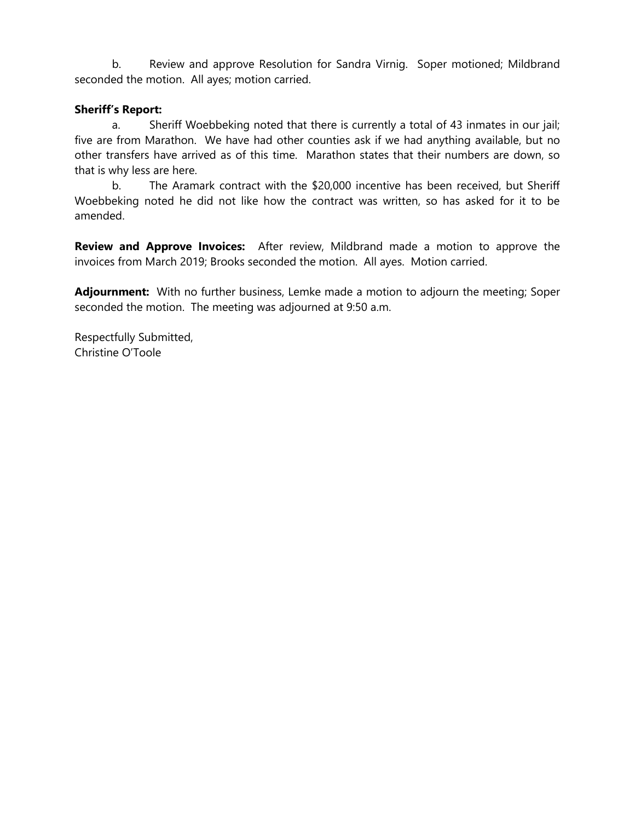b. Review and approve Resolution for Sandra Virnig. Soper motioned; Mildbrand seconded the motion. All ayes; motion carried.

# **Sheriff's Report:**

a. Sheriff Woebbeking noted that there is currently a total of 43 inmates in our jail; five are from Marathon. We have had other counties ask if we had anything available, but no other transfers have arrived as of this time. Marathon states that their numbers are down, so that is why less are here.

b. The Aramark contract with the \$20,000 incentive has been received, but Sheriff Woebbeking noted he did not like how the contract was written, so has asked for it to be amended.

**Review and Approve Invoices:** After review, Mildbrand made a motion to approve the invoices from March 2019; Brooks seconded the motion. All ayes. Motion carried.

**Adjournment:** With no further business, Lemke made a motion to adjourn the meeting; Soper seconded the motion. The meeting was adjourned at 9:50 a.m.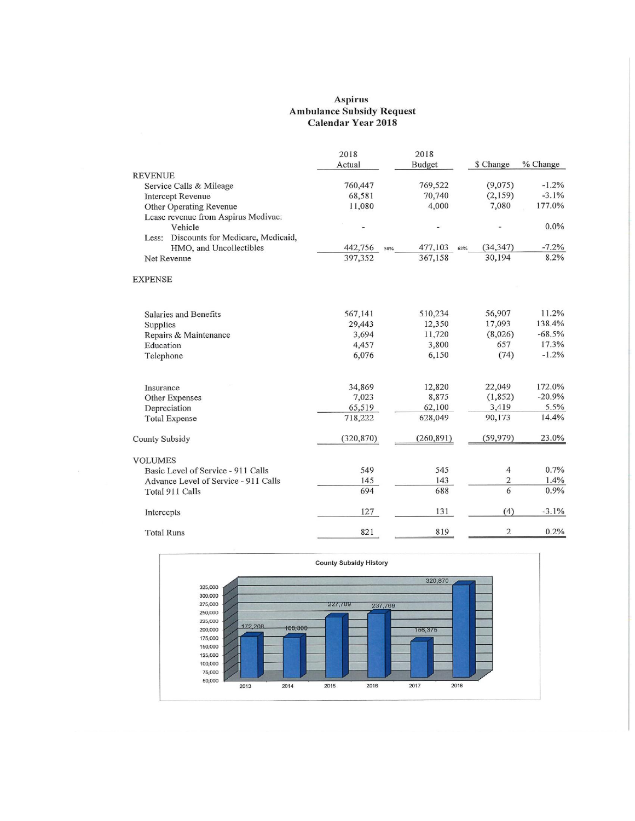# Aspirus<br>Ambulance Subsidy Request<br>Calendar Year 2018

|                                            | 2018<br>Actual | 2018<br><b>Budget</b> | \$ Change      | % Change |
|--------------------------------------------|----------------|-----------------------|----------------|----------|
| <b>REVENUE</b>                             |                |                       |                |          |
| Service Calls & Mileage                    | 760,447        | 769,522               | (9,075)        | $-1.2%$  |
| <b>Intercept Revenue</b>                   | 68,581         | 70,740                | (2,159)        | $-3.1%$  |
| Other Operating Revenue                    | 11,080         | 4,000                 | 7,080          | 177.0%   |
| Lease revenue from Aspirus Medivac:        |                |                       |                |          |
| Vehicle                                    |                |                       |                | $0.0\%$  |
| Discounts for Medicare, Medicaid,<br>Less: |                |                       |                |          |
| HMO, and Uncollectibles                    | 442,756<br>58% | 477,103<br>62%        | (34, 347)      | $-7.2%$  |
| Net Revenue                                | 397,352        | 367,158               | 30,194         | 8.2%     |
| <b>EXPENSE</b>                             |                |                       |                |          |
|                                            |                |                       |                |          |
| Salaries and Benefits                      | 567,141        | 510,234               | 56,907         | 11.2%    |
| Supplies                                   | 29,443         | 12,350                | 17,093         | 138.4%   |
| Repairs & Maintenance                      | 3,694          | 11,720                | (8,026)        | $-68.5%$ |
| Education                                  | 4,457          | 3,800                 | 657            | 17.3%    |
| Telephone                                  | 6,076          | 6,150                 | (74)           | $-1.2%$  |
| Insurance                                  | 34,869         | 12,820                | 22,049         | 172.0%   |
| Other Expenses                             | 7,023          | 8,875                 | (1, 852)       | $-20.9%$ |
| Depreciation                               | 65,519         | 62,100                | 3,419          | 5.5%     |
| <b>Total Expense</b>                       | 718,222        | 628,049               | 90,173         | 14.4%    |
| <b>County Subsidy</b>                      | (320, 870)     | (260, 891)            | (59, 979)      | 23.0%    |
| <b>VOLUMES</b>                             |                |                       |                |          |
| Basic Level of Service - 911 Calls         | 549            | 545                   | 4              | 0.7%     |
| Advance Level of Service - 911 Calls       | 145            | 143                   | $\overline{2}$ | 1.4%     |
| Total 911 Calls                            | 694            | 688                   | 6              | 0.9%     |
| Intercepts                                 | 127            | 131                   | (4)            | $-3.1%$  |
| <b>Total Runs</b>                          | 821            | 819                   | $\overline{c}$ | 0.2%     |

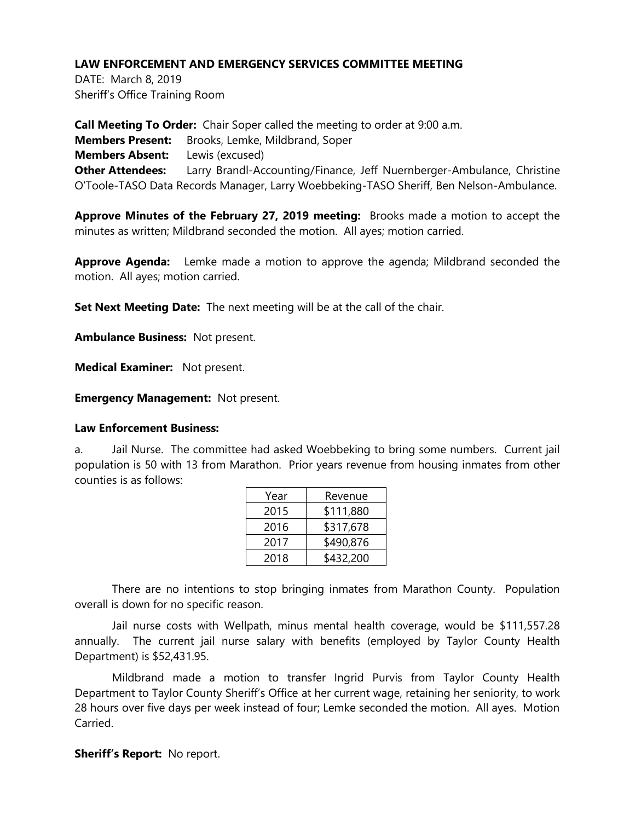DATE: March 8, 2019 Sheriff's Office Training Room

**Call Meeting To Order:** Chair Soper called the meeting to order at 9:00 a.m. **Members Present:** Brooks, Lemke, Mildbrand, Soper **Members Absent:** Lewis (excused) **Other Attendees:** Larry Brandl-Accounting/Finance, Jeff Nuernberger-Ambulance, Christine O'Toole-TASO Data Records Manager, Larry Woebbeking-TASO Sheriff, Ben Nelson-Ambulance.

**Approve Minutes of the February 27, 2019 meeting:** Brooks made a motion to accept the minutes as written; Mildbrand seconded the motion. All ayes; motion carried.

**Approve Agenda:** Lemke made a motion to approve the agenda; Mildbrand seconded the motion. All ayes; motion carried.

**Set Next Meeting Date:** The next meeting will be at the call of the chair.

**Ambulance Business:** Not present.

**Medical Examiner:** Not present.

**Emergency Management:** Not present.

# **Law Enforcement Business:**

a. Jail Nurse. The committee had asked Woebbeking to bring some numbers. Current jail population is 50 with 13 from Marathon. Prior years revenue from housing inmates from other counties is as follows:

| Revenue   |  |  |
|-----------|--|--|
| \$111,880 |  |  |
| \$317,678 |  |  |
| \$490,876 |  |  |
| \$432,200 |  |  |
|           |  |  |

There are no intentions to stop bringing inmates from Marathon County. Population overall is down for no specific reason.

Jail nurse costs with Wellpath, minus mental health coverage, would be \$111,557.28 annually. The current jail nurse salary with benefits (employed by Taylor County Health Department) is \$52,431.95.

Mildbrand made a motion to transfer Ingrid Purvis from Taylor County Health Department to Taylor County Sheriff's Office at her current wage, retaining her seniority, to work 28 hours over five days per week instead of four; Lemke seconded the motion. All ayes. Motion **Carried** 

# **Sheriff's Report:** No report.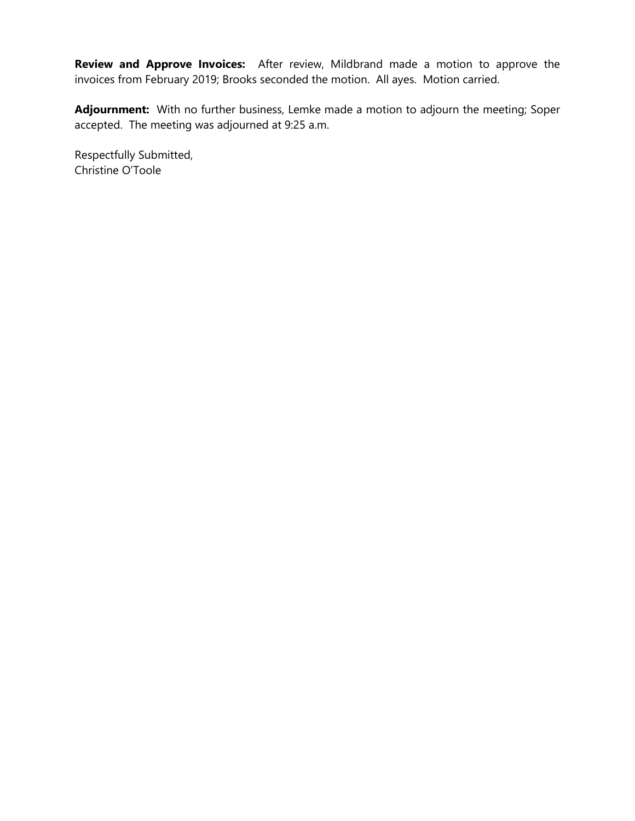**Review and Approve Invoices:** After review, Mildbrand made a motion to approve the invoices from February 2019; Brooks seconded the motion. All ayes. Motion carried.

**Adjournment:** With no further business, Lemke made a motion to adjourn the meeting; Soper accepted. The meeting was adjourned at 9:25 a.m.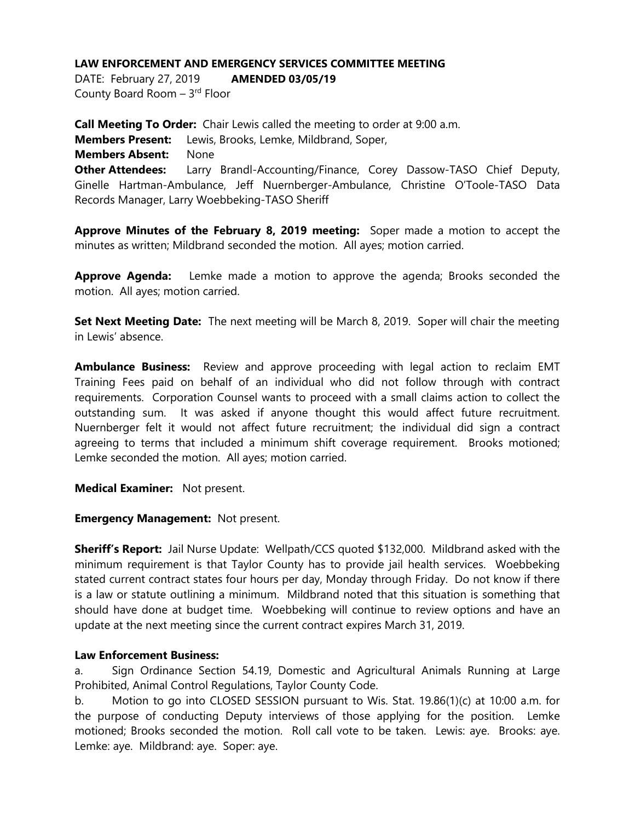DATE: February 27, 2019 **AMENDED 03/05/19**

County Board Room - 3<sup>rd</sup> Floor

**Call Meeting To Order:** Chair Lewis called the meeting to order at 9:00 a.m. **Members Present:** Lewis, Brooks, Lemke, Mildbrand, Soper, **Members Absent:** None **Other Attendees:** Larry Brandl-Accounting/Finance, Corey Dassow-TASO Chief Deputy, Ginelle Hartman-Ambulance, Jeff Nuernberger-Ambulance, Christine O'Toole-TASO Data Records Manager, Larry Woebbeking-TASO Sheriff

**Approve Minutes of the February 8, 2019 meeting:** Soper made a motion to accept the minutes as written; Mildbrand seconded the motion. All ayes; motion carried.

**Approve Agenda:** Lemke made a motion to approve the agenda; Brooks seconded the motion. All ayes; motion carried.

**Set Next Meeting Date:** The next meeting will be March 8, 2019. Soper will chair the meeting in Lewis' absence.

**Ambulance Business:** Review and approve proceeding with legal action to reclaim EMT Training Fees paid on behalf of an individual who did not follow through with contract requirements. Corporation Counsel wants to proceed with a small claims action to collect the outstanding sum. It was asked if anyone thought this would affect future recruitment. Nuernberger felt it would not affect future recruitment; the individual did sign a contract agreeing to terms that included a minimum shift coverage requirement. Brooks motioned; Lemke seconded the motion. All ayes; motion carried.

**Medical Examiner:** Not present.

# **Emergency Management:** Not present.

**Sheriff's Report:** Jail Nurse Update: Wellpath/CCS quoted \$132,000. Mildbrand asked with the minimum requirement is that Taylor County has to provide jail health services. Woebbeking stated current contract states four hours per day, Monday through Friday. Do not know if there is a law or statute outlining a minimum. Mildbrand noted that this situation is something that should have done at budget time. Woebbeking will continue to review options and have an update at the next meeting since the current contract expires March 31, 2019.

#### **Law Enforcement Business:**

a. Sign Ordinance Section 54.19, Domestic and Agricultural Animals Running at Large Prohibited, Animal Control Regulations, Taylor County Code.

b. Motion to go into CLOSED SESSION pursuant to Wis. Stat. 19.86(1)(c) at 10:00 a.m. for the purpose of conducting Deputy interviews of those applying for the position. Lemke motioned; Brooks seconded the motion. Roll call vote to be taken. Lewis: aye. Brooks: aye. Lemke: aye. Mildbrand: aye. Soper: aye.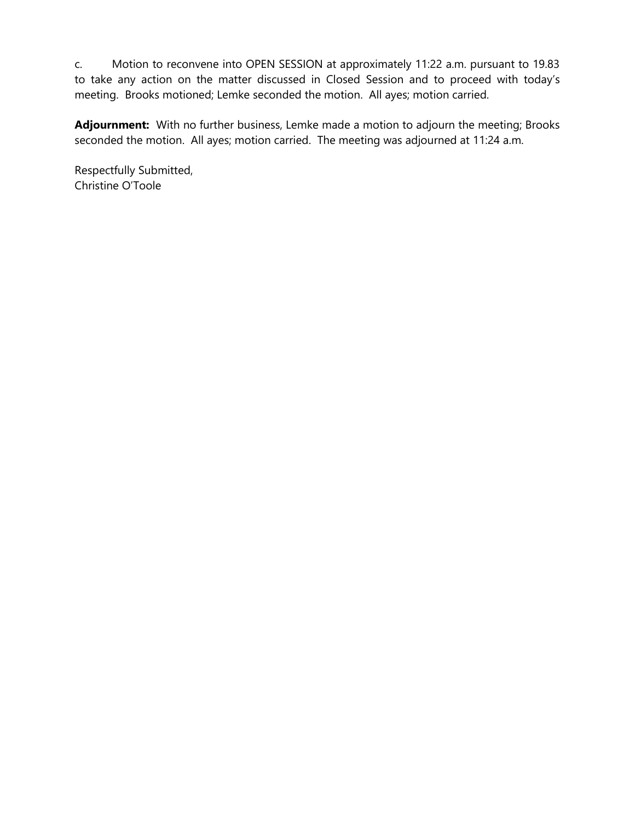c. Motion to reconvene into OPEN SESSION at approximately 11:22 a.m. pursuant to 19.83 to take any action on the matter discussed in Closed Session and to proceed with today's meeting. Brooks motioned; Lemke seconded the motion. All ayes; motion carried.

**Adjournment:** With no further business, Lemke made a motion to adjourn the meeting; Brooks seconded the motion. All ayes; motion carried. The meeting was adjourned at 11:24 a.m.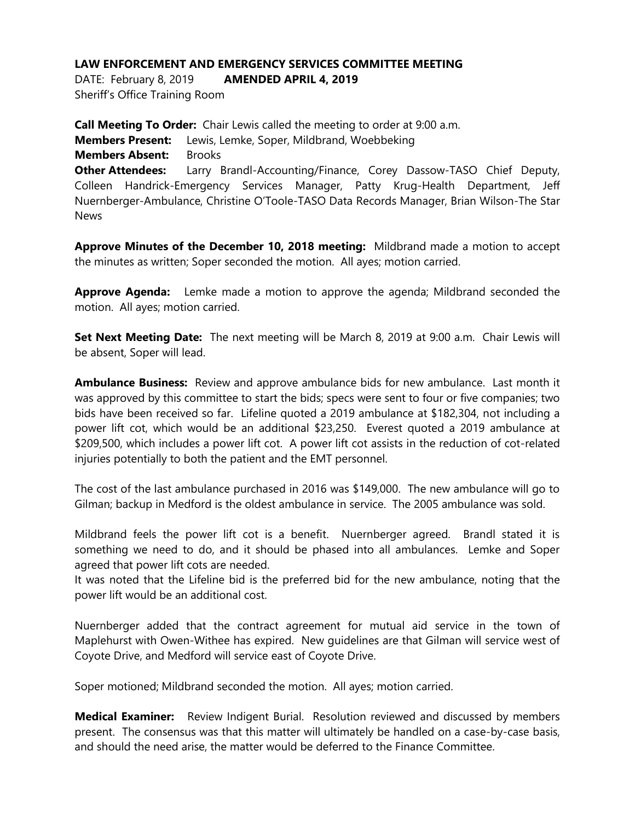DATE: February 8, 2019 **AMENDED APRIL 4, 2019**

Sheriff's Office Training Room

**Call Meeting To Order:** Chair Lewis called the meeting to order at 9:00 a.m. **Members Present:** Lewis, Lemke, Soper, Mildbrand, Woebbeking **Members Absent:** Brooks **Other Attendees:** Larry Brandl-Accounting/Finance, Corey Dassow-TASO Chief Deputy, Colleen Handrick-Emergency Services Manager, Patty Krug-Health Department, Jeff Nuernberger-Ambulance, Christine O'Toole-TASO Data Records Manager, Brian Wilson-The Star News

**Approve Minutes of the December 10, 2018 meeting:** Mildbrand made a motion to accept the minutes as written; Soper seconded the motion. All ayes; motion carried.

**Approve Agenda:** Lemke made a motion to approve the agenda; Mildbrand seconded the motion. All ayes; motion carried.

**Set Next Meeting Date:** The next meeting will be March 8, 2019 at 9:00 a.m. Chair Lewis will be absent, Soper will lead.

**Ambulance Business:** Review and approve ambulance bids for new ambulance. Last month it was approved by this committee to start the bids; specs were sent to four or five companies; two bids have been received so far. Lifeline quoted a 2019 ambulance at \$182,304, not including a power lift cot, which would be an additional \$23,250. Everest quoted a 2019 ambulance at \$209,500, which includes a power lift cot. A power lift cot assists in the reduction of cot-related injuries potentially to both the patient and the EMT personnel.

The cost of the last ambulance purchased in 2016 was \$149,000. The new ambulance will go to Gilman; backup in Medford is the oldest ambulance in service. The 2005 ambulance was sold.

Mildbrand feels the power lift cot is a benefit. Nuernberger agreed. Brandl stated it is something we need to do, and it should be phased into all ambulances. Lemke and Soper agreed that power lift cots are needed.

It was noted that the Lifeline bid is the preferred bid for the new ambulance, noting that the power lift would be an additional cost.

Nuernberger added that the contract agreement for mutual aid service in the town of Maplehurst with Owen-Withee has expired. New guidelines are that Gilman will service west of Coyote Drive, and Medford will service east of Coyote Drive.

Soper motioned; Mildbrand seconded the motion. All ayes; motion carried.

**Medical Examiner:** Review Indigent Burial. Resolution reviewed and discussed by members present. The consensus was that this matter will ultimately be handled on a case-by-case basis, and should the need arise, the matter would be deferred to the Finance Committee.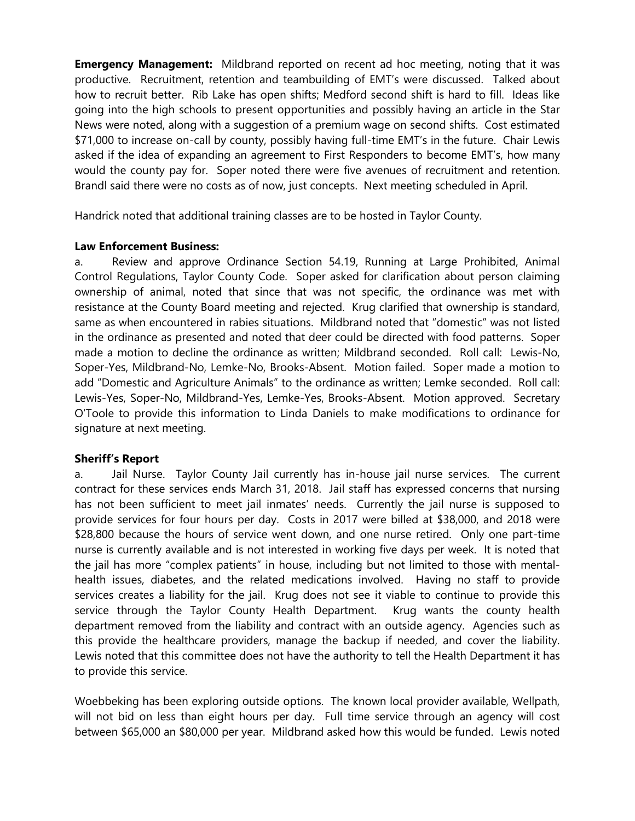**Emergency Management:** Mildbrand reported on recent ad hoc meeting, noting that it was productive. Recruitment, retention and teambuilding of EMT's were discussed. Talked about how to recruit better. Rib Lake has open shifts; Medford second shift is hard to fill. Ideas like going into the high schools to present opportunities and possibly having an article in the Star News were noted, along with a suggestion of a premium wage on second shifts. Cost estimated \$71,000 to increase on-call by county, possibly having full-time EMT's in the future. Chair Lewis asked if the idea of expanding an agreement to First Responders to become EMT's, how many would the county pay for. Soper noted there were five avenues of recruitment and retention. Brandl said there were no costs as of now, just concepts. Next meeting scheduled in April.

Handrick noted that additional training classes are to be hosted in Taylor County.

# **Law Enforcement Business:**

a. Review and approve Ordinance Section 54.19, Running at Large Prohibited, Animal Control Regulations, Taylor County Code. Soper asked for clarification about person claiming ownership of animal, noted that since that was not specific, the ordinance was met with resistance at the County Board meeting and rejected. Krug clarified that ownership is standard, same as when encountered in rabies situations. Mildbrand noted that "domestic" was not listed in the ordinance as presented and noted that deer could be directed with food patterns. Soper made a motion to decline the ordinance as written; Mildbrand seconded. Roll call: Lewis-No, Soper-Yes, Mildbrand-No, Lemke-No, Brooks-Absent. Motion failed. Soper made a motion to add "Domestic and Agriculture Animals" to the ordinance as written; Lemke seconded. Roll call: Lewis-Yes, Soper-No, Mildbrand-Yes, Lemke-Yes, Brooks-Absent. Motion approved. Secretary O'Toole to provide this information to Linda Daniels to make modifications to ordinance for signature at next meeting.

# **Sheriff's Report**

a. Jail Nurse. Taylor County Jail currently has in-house jail nurse services. The current contract for these services ends March 31, 2018. Jail staff has expressed concerns that nursing has not been sufficient to meet jail inmates' needs. Currently the jail nurse is supposed to provide services for four hours per day. Costs in 2017 were billed at \$38,000, and 2018 were \$28,800 because the hours of service went down, and one nurse retired. Only one part-time nurse is currently available and is not interested in working five days per week. It is noted that the jail has more "complex patients" in house, including but not limited to those with mentalhealth issues, diabetes, and the related medications involved. Having no staff to provide services creates a liability for the jail. Krug does not see it viable to continue to provide this service through the Taylor County Health Department. Krug wants the county health department removed from the liability and contract with an outside agency. Agencies such as this provide the healthcare providers, manage the backup if needed, and cover the liability. Lewis noted that this committee does not have the authority to tell the Health Department it has to provide this service.

Woebbeking has been exploring outside options. The known local provider available, Wellpath, will not bid on less than eight hours per day. Full time service through an agency will cost between \$65,000 an \$80,000 per year. Mildbrand asked how this would be funded. Lewis noted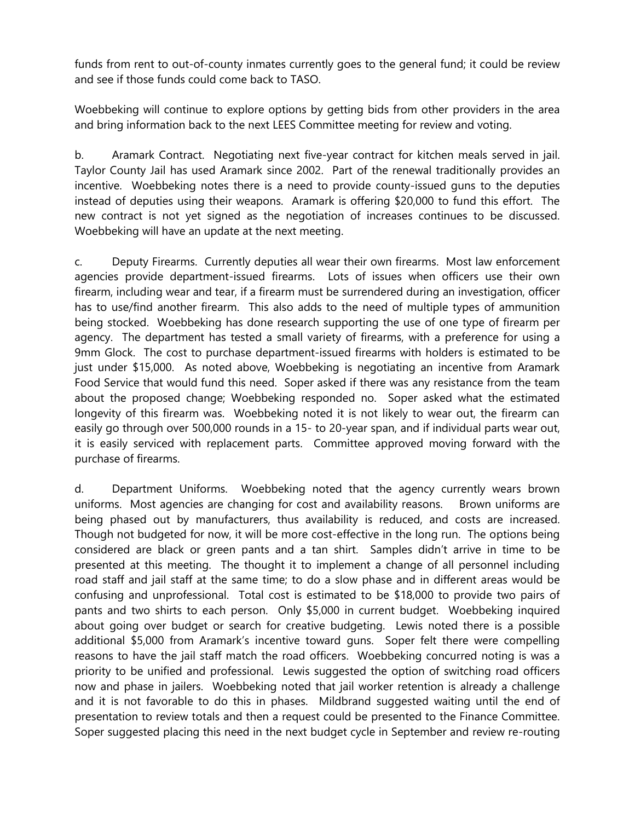funds from rent to out-of-county inmates currently goes to the general fund; it could be review and see if those funds could come back to TASO.

Woebbeking will continue to explore options by getting bids from other providers in the area and bring information back to the next LEES Committee meeting for review and voting.

b. Aramark Contract. Negotiating next five-year contract for kitchen meals served in jail. Taylor County Jail has used Aramark since 2002. Part of the renewal traditionally provides an incentive. Woebbeking notes there is a need to provide county-issued guns to the deputies instead of deputies using their weapons. Aramark is offering \$20,000 to fund this effort. The new contract is not yet signed as the negotiation of increases continues to be discussed. Woebbeking will have an update at the next meeting.

c. Deputy Firearms. Currently deputies all wear their own firearms. Most law enforcement agencies provide department-issued firearms. Lots of issues when officers use their own firearm, including wear and tear, if a firearm must be surrendered during an investigation, officer has to use/find another firearm. This also adds to the need of multiple types of ammunition being stocked. Woebbeking has done research supporting the use of one type of firearm per agency. The department has tested a small variety of firearms, with a preference for using a 9mm Glock. The cost to purchase department-issued firearms with holders is estimated to be just under \$15,000. As noted above, Woebbeking is negotiating an incentive from Aramark Food Service that would fund this need. Soper asked if there was any resistance from the team about the proposed change; Woebbeking responded no. Soper asked what the estimated longevity of this firearm was. Woebbeking noted it is not likely to wear out, the firearm can easily go through over 500,000 rounds in a 15- to 20-year span, and if individual parts wear out, it is easily serviced with replacement parts. Committee approved moving forward with the purchase of firearms.

d. Department Uniforms. Woebbeking noted that the agency currently wears brown uniforms. Most agencies are changing for cost and availability reasons. Brown uniforms are being phased out by manufacturers, thus availability is reduced, and costs are increased. Though not budgeted for now, it will be more cost-effective in the long run. The options being considered are black or green pants and a tan shirt. Samples didn't arrive in time to be presented at this meeting. The thought it to implement a change of all personnel including road staff and jail staff at the same time; to do a slow phase and in different areas would be confusing and unprofessional. Total cost is estimated to be \$18,000 to provide two pairs of pants and two shirts to each person. Only \$5,000 in current budget. Woebbeking inquired about going over budget or search for creative budgeting. Lewis noted there is a possible additional \$5,000 from Aramark's incentive toward guns. Soper felt there were compelling reasons to have the jail staff match the road officers. Woebbeking concurred noting is was a priority to be unified and professional. Lewis suggested the option of switching road officers now and phase in jailers. Woebbeking noted that jail worker retention is already a challenge and it is not favorable to do this in phases. Mildbrand suggested waiting until the end of presentation to review totals and then a request could be presented to the Finance Committee. Soper suggested placing this need in the next budget cycle in September and review re-routing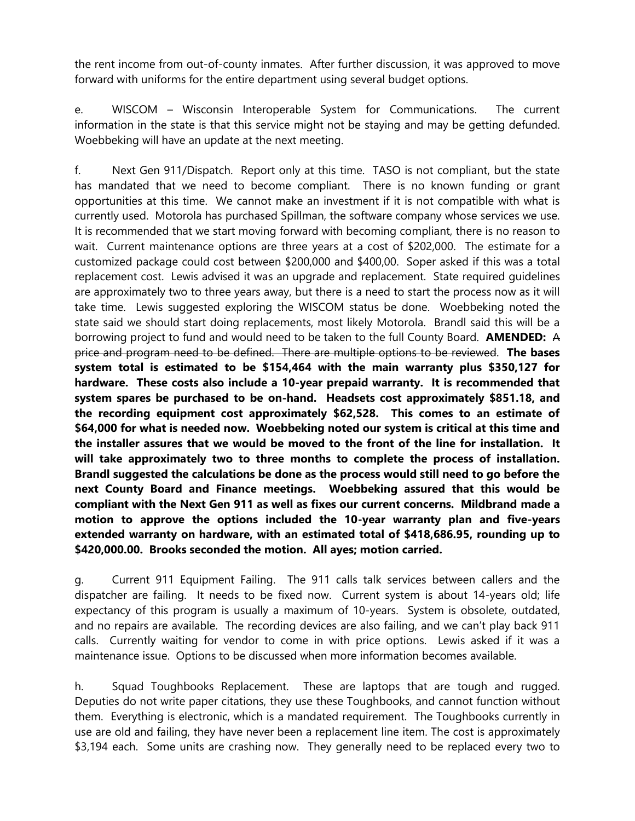the rent income from out-of-county inmates. After further discussion, it was approved to move forward with uniforms for the entire department using several budget options.

e. WISCOM – Wisconsin Interoperable System for Communications. The current information in the state is that this service might not be staying and may be getting defunded. Woebbeking will have an update at the next meeting.

f. Next Gen 911/Dispatch. Report only at this time. TASO is not compliant, but the state has mandated that we need to become compliant. There is no known funding or grant opportunities at this time. We cannot make an investment if it is not compatible with what is currently used. Motorola has purchased Spillman, the software company whose services we use. It is recommended that we start moving forward with becoming compliant, there is no reason to wait. Current maintenance options are three years at a cost of \$202,000. The estimate for a customized package could cost between \$200,000 and \$400,00. Soper asked if this was a total replacement cost. Lewis advised it was an upgrade and replacement. State required guidelines are approximately two to three years away, but there is a need to start the process now as it will take time. Lewis suggested exploring the WISCOM status be done. Woebbeking noted the state said we should start doing replacements, most likely Motorola. Brandl said this will be a borrowing project to fund and would need to be taken to the full County Board. **AMENDED:** A price and program need to be defined. There are multiple options to be reviewed. **The bases system total is estimated to be \$154,464 with the main warranty plus \$350,127 for hardware. These costs also include a 10-year prepaid warranty. It is recommended that system spares be purchased to be on-hand. Headsets cost approximately \$851.18, and the recording equipment cost approximately \$62,528. This comes to an estimate of \$64,000 for what is needed now. Woebbeking noted our system is critical at this time and the installer assures that we would be moved to the front of the line for installation. It will take approximately two to three months to complete the process of installation. Brandl suggested the calculations be done as the process would still need to go before the next County Board and Finance meetings. Woebbeking assured that this would be compliant with the Next Gen 911 as well as fixes our current concerns. Mildbrand made a motion to approve the options included the 10-year warranty plan and five-years extended warranty on hardware, with an estimated total of \$418,686.95, rounding up to \$420,000.00. Brooks seconded the motion. All ayes; motion carried.**

g. Current 911 Equipment Failing. The 911 calls talk services between callers and the dispatcher are failing. It needs to be fixed now. Current system is about 14-years old; life expectancy of this program is usually a maximum of 10-years. System is obsolete, outdated, and no repairs are available. The recording devices are also failing, and we can't play back 911 calls. Currently waiting for vendor to come in with price options. Lewis asked if it was a maintenance issue. Options to be discussed when more information becomes available.

h. Squad Toughbooks Replacement. These are laptops that are tough and rugged. Deputies do not write paper citations, they use these Toughbooks, and cannot function without them. Everything is electronic, which is a mandated requirement. The Toughbooks currently in use are old and failing, they have never been a replacement line item. The cost is approximately \$3,194 each. Some units are crashing now. They generally need to be replaced every two to